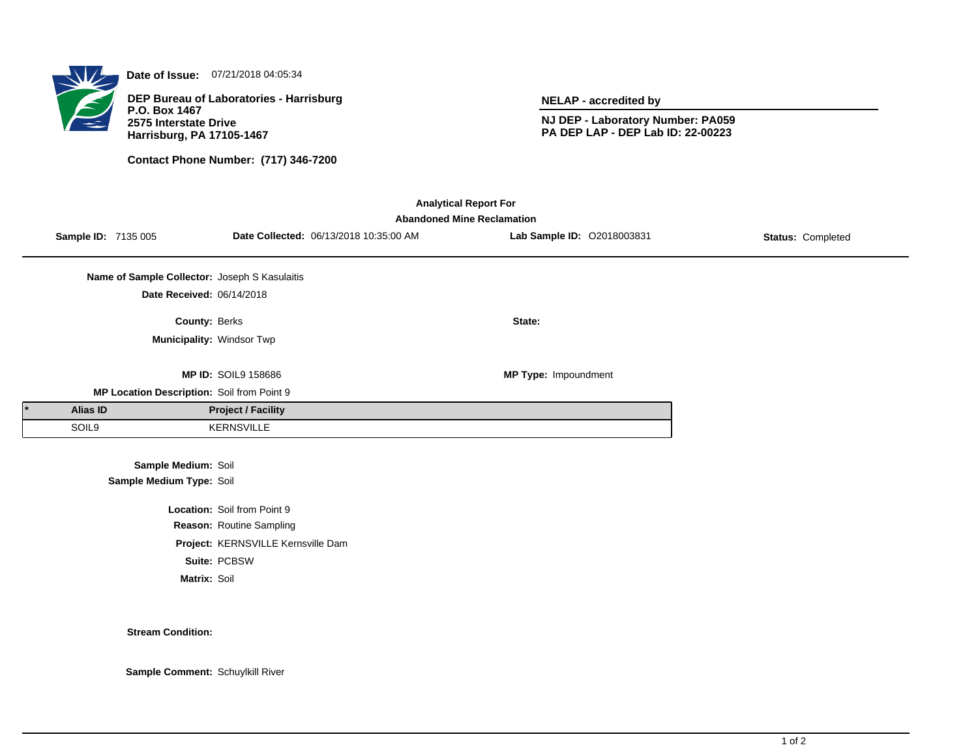

**Date of Issue:** 07/21/2018 04:05:34

**DEP Bureau of Laboratories - Harrisburg P.O. Box 1467 2575 Interstate Drive Harrisburg, PA 17105-1467**

**Contact Phone Number: (717) 346-7200**

**NELAP - accredited by**

**NJ DEP - Laboratory Number: PA059 PA DEP LAP - DEP Lab ID: 22-00223**

| <b>Analytical Report For</b><br><b>Abandoned Mine Reclamation</b> |                            |                                               |                                    |                                        |                            |                   |  |  |  |
|-------------------------------------------------------------------|----------------------------|-----------------------------------------------|------------------------------------|----------------------------------------|----------------------------|-------------------|--|--|--|
|                                                                   | <b>Sample ID: 7135 005</b> |                                               |                                    | Date Collected: 06/13/2018 10:35:00 AM | Lab Sample ID: 02018003831 | Status: Completed |  |  |  |
|                                                                   |                            | Name of Sample Collector: Joseph S Kasulaitis |                                    |                                        |                            |                   |  |  |  |
|                                                                   |                            | Date Received: 06/14/2018                     |                                    |                                        |                            |                   |  |  |  |
|                                                                   |                            | County: Berks                                 |                                    |                                        | State:                     |                   |  |  |  |
|                                                                   |                            | Municipality: Windsor Twp                     |                                    |                                        |                            |                   |  |  |  |
|                                                                   |                            |                                               | <b>MP ID: SOIL9 158686</b>         |                                        | MP Type: Impoundment       |                   |  |  |  |
|                                                                   |                            | MP Location Description: Soil from Point 9    |                                    |                                        |                            |                   |  |  |  |
|                                                                   | <b>Alias ID</b>            |                                               | <b>Project / Facility</b>          |                                        |                            |                   |  |  |  |
|                                                                   | SOIL9                      |                                               | <b>KERNSVILLE</b>                  |                                        |                            |                   |  |  |  |
|                                                                   |                            | Sample Medium: Soil                           |                                    |                                        |                            |                   |  |  |  |
|                                                                   |                            | Sample Medium Type: Soil                      |                                    |                                        |                            |                   |  |  |  |
|                                                                   |                            |                                               | Location: Soil from Point 9        |                                        |                            |                   |  |  |  |
|                                                                   |                            |                                               | Reason: Routine Sampling           |                                        |                            |                   |  |  |  |
|                                                                   |                            |                                               | Project: KERNSVILLE Kernsville Dam |                                        |                            |                   |  |  |  |
|                                                                   |                            |                                               | Suite: PCBSW                       |                                        |                            |                   |  |  |  |
|                                                                   |                            | Matrix: Soil                                  |                                    |                                        |                            |                   |  |  |  |

## **Stream Condition:**

**Sample Comment:** Schuylkill River